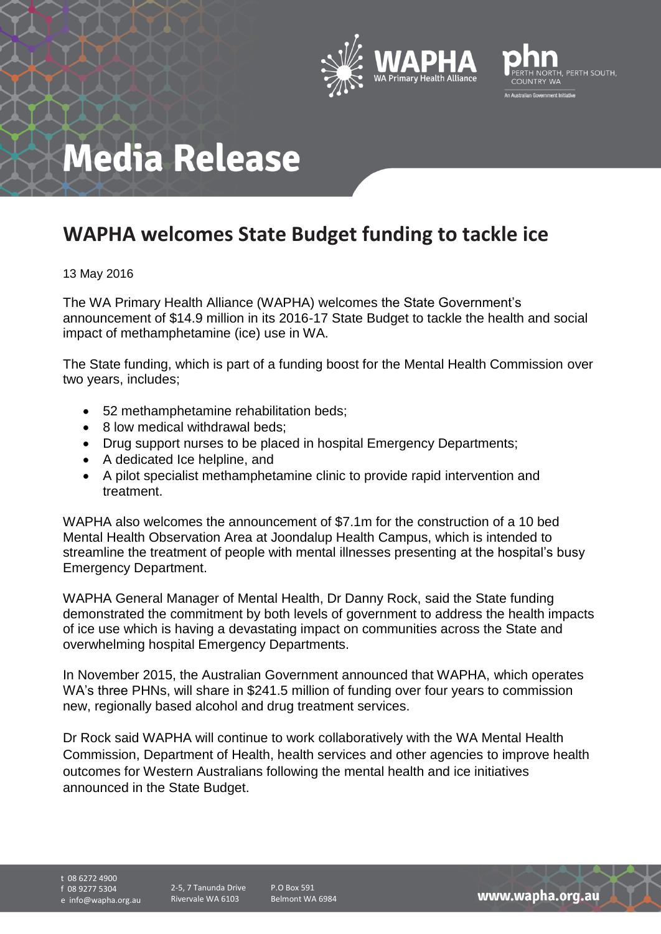



## **Media Release**

## **WAPHA welcomes State Budget funding to tackle ice**

## 13 May 2016

The WA Primary Health Alliance (WAPHA) welcomes the State Government's announcement of \$14.9 million in its 2016-17 State Budget to tackle the health and social impact of methamphetamine (ice) use in WA.

The State funding, which is part of a funding boost for the Mental Health Commission over two years, includes;

- 52 methamphetamine rehabilitation beds;
- 8 low medical withdrawal beds:
- Drug support nurses to be placed in hospital Emergency Departments;
- A dedicated Ice helpline, and
- A pilot specialist methamphetamine clinic to provide rapid intervention and treatment.

WAPHA also welcomes the announcement of \$7.1m for the construction of a 10 bed Mental Health Observation Area at Joondalup Health Campus, which is intended to streamline the treatment of people with mental illnesses presenting at the hospital's busy Emergency Department.

WAPHA General Manager of Mental Health, Dr Danny Rock, said the State funding demonstrated the commitment by both levels of government to address the health impacts of ice use which is having a devastating impact on communities across the State and overwhelming hospital Emergency Departments.

In November 2015, the Australian Government announced that WAPHA, which operates WA's three PHNs, will share in \$241.5 million of funding over four years to commission new, regionally based alcohol and drug treatment services.

Dr Rock said WAPHA will continue to work collaboratively with the WA Mental Health Commission, Department of Health, health services and other agencies to improve health outcomes for Western Australians following the mental health and ice initiatives announced in the State Budget.

t 08 6272 4900 f 08 9277 5304 e info@wapha.org.au

2-5, 7 Tanunda Drive Rivervale WA 6103

P.O Box 591 Belmont WA 6984

www.wapha.org.au